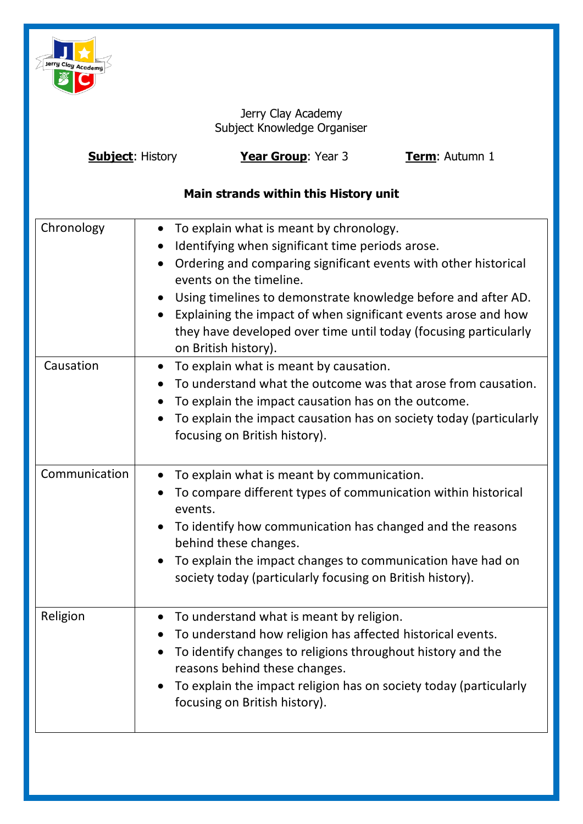

Jerry Clay Academy Subject Knowledge Organiser

| <b>Subject: History</b> | Year Group: Year 3 | <b>Term: Autumn 1</b> |
|-------------------------|--------------------|-----------------------|
|-------------------------|--------------------|-----------------------|

# **Main strands within this History unit**

| Chronology    | To explain what is meant by chronology.<br>$\bullet$<br>Identifying when significant time periods arose.<br>Ordering and comparing significant events with other historical<br>$\bullet$<br>events on the timeline.<br>Using timelines to demonstrate knowledge before and after AD.<br>$\bullet$<br>Explaining the impact of when significant events arose and how<br>they have developed over time until today (focusing particularly<br>on British history). |
|---------------|-----------------------------------------------------------------------------------------------------------------------------------------------------------------------------------------------------------------------------------------------------------------------------------------------------------------------------------------------------------------------------------------------------------------------------------------------------------------|
| Causation     | • To explain what is meant by causation.<br>To understand what the outcome was that arose from causation.<br>To explain the impact causation has on the outcome.<br>To explain the impact causation has on society today (particularly<br>focusing on British history).                                                                                                                                                                                         |
| Communication | To explain what is meant by communication.<br>$\bullet$<br>To compare different types of communication within historical<br>events.<br>To identify how communication has changed and the reasons<br>behind these changes.<br>To explain the impact changes to communication have had on<br>society today (particularly focusing on British history).                                                                                                            |
| Religion      | To understand what is meant by religion.<br>$\bullet$<br>To understand how religion has affected historical events.<br>$\bullet$<br>To identify changes to religions throughout history and the<br>reasons behind these changes.<br>To explain the impact religion has on society today (particularly<br>focusing on British history).                                                                                                                          |